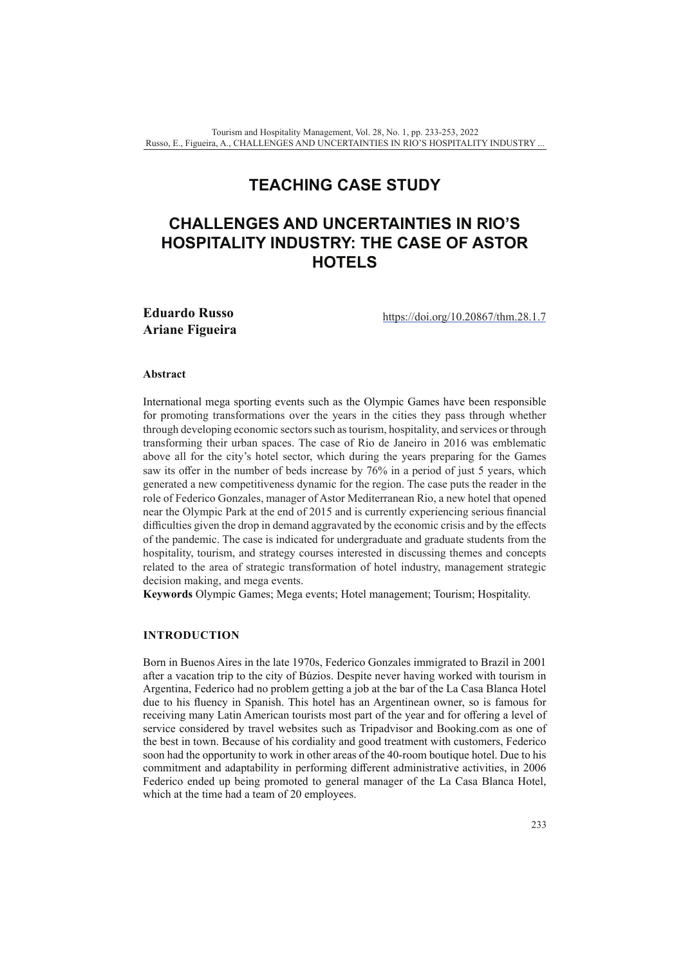# **TEACHING CASE STUDY**

# **CHALLENGES AND UNCERTAINTIES IN RIO'S HOSPITALITY INDUSTRY: THE CASE OF ASTOR HOTELS**

**Eduardo Russo Ariane Figueira**

[https://doi.org/10.20867/thm.28.1.7](https://doi.org/10.20867/thm.28.1.7 )

### **Abstract**

International mega sporting events such as the Olympic Games have been responsible for promoting transformations over the years in the cities they pass through whether through developing economic sectors such as tourism, hospitality, and services or through transforming their urban spaces. The case of Rio de Janeiro in 2016 was emblematic above all for the city's hotel sector, which during the years preparing for the Games saw its offer in the number of beds increase by 76% in a period of just 5 years, which generated a new competitiveness dynamic for the region. The case puts the reader in the role of Federico Gonzales, manager of Astor Mediterranean Rio, a new hotel that opened near the Olympic Park at the end of 2015 and is currently experiencing serious financial difficulties given the drop in demand aggravated by the economic crisis and by the effects of the pandemic. The case is indicated for undergraduate and graduate students from the hospitality, tourism, and strategy courses interested in discussing themes and concepts related to the area of strategic transformation of hotel industry, management strategic decision making, and mega events.

**Keywords** Olympic Games; Mega events; Hotel management; Tourism; Hospitality.

# **INTRODUCTION**

Born in Buenos Aires in the late 1970s, Federico Gonzales immigrated to Brazil in 2001 after a vacation trip to the city of Búzios. Despite never having worked with tourism in Argentina, Federico had no problem getting a job at the bar of the La Casa Blanca Hotel due to his fluency in Spanish. This hotel has an Argentinean owner, so is famous for receiving many Latin American tourists most part of the year and for offering a level of service considered by travel websites such as Tripadvisor and Booking.com as one of the best in town. Because of his cordiality and good treatment with customers, Federico soon had the opportunity to work in other areas of the 40-room boutique hotel. Due to his commitment and adaptability in performing different administrative activities, in 2006 Federico ended up being promoted to general manager of the La Casa Blanca Hotel, which at the time had a team of 20 employees.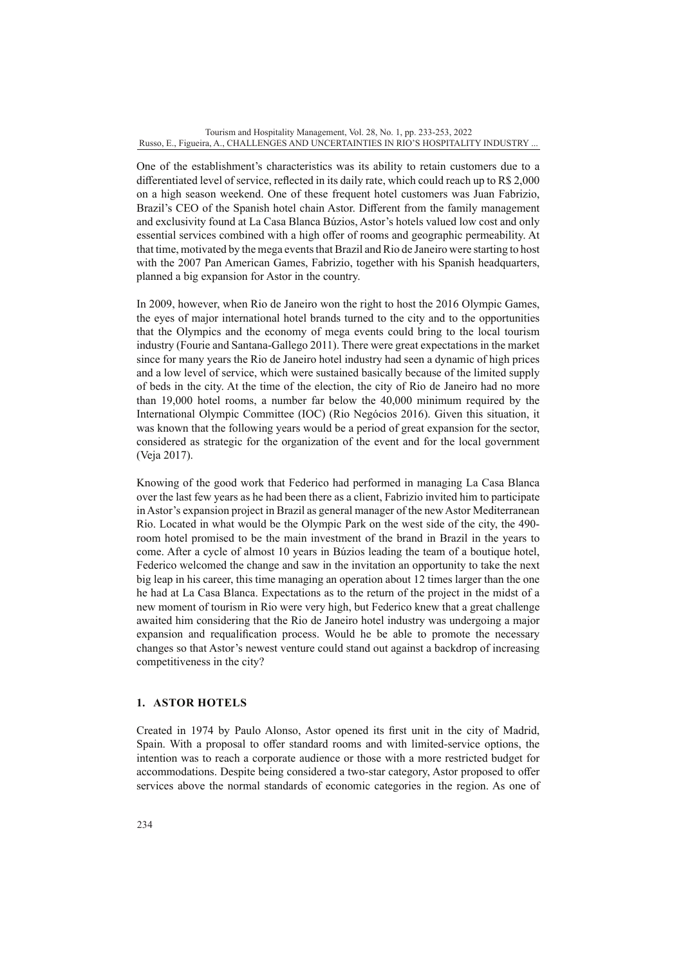One of the establishment's characteristics was its ability to retain customers due to a differentiated level of service, reflected in its daily rate, which could reach up to R\$ 2,000 on a high season weekend. One of these frequent hotel customers was Juan Fabrizio, Brazil's CEO of the Spanish hotel chain Astor. Different from the family management and exclusivity found at La Casa Blanca Búzios, Astor's hotels valued low cost and only essential services combined with a high offer of rooms and geographic permeability. At that time, motivated by the mega events that Brazil and Rio de Janeiro were starting to host with the 2007 Pan American Games, Fabrizio, together with his Spanish headquarters, planned a big expansion for Astor in the country.

In 2009, however, when Rio de Janeiro won the right to host the 2016 Olympic Games, the eyes of major international hotel brands turned to the city and to the opportunities that the Olympics and the economy of mega events could bring to the local tourism industry (Fourie and Santana-Gallego 2011). There were great expectations in the market since for many years the Rio de Janeiro hotel industry had seen a dynamic of high prices and a low level of service, which were sustained basically because of the limited supply of beds in the city. At the time of the election, the city of Rio de Janeiro had no more than 19,000 hotel rooms, a number far below the 40,000 minimum required by the International Olympic Committee (IOC) (Rio Negócios 2016). Given this situation, it was known that the following years would be a period of great expansion for the sector, considered as strategic for the organization of the event and for the local government (Veja 2017).

Knowing of the good work that Federico had performed in managing La Casa Blanca over the last few years as he had been there as a client, Fabrizio invited him to participate in Astor's expansion project in Brazil as general manager of the new Astor Mediterranean Rio. Located in what would be the Olympic Park on the west side of the city, the 490 room hotel promised to be the main investment of the brand in Brazil in the years to come. After a cycle of almost 10 years in Búzios leading the team of a boutique hotel, Federico welcomed the change and saw in the invitation an opportunity to take the next big leap in his career, this time managing an operation about 12 times larger than the one he had at La Casa Blanca. Expectations as to the return of the project in the midst of a new moment of tourism in Rio were very high, but Federico knew that a great challenge awaited him considering that the Rio de Janeiro hotel industry was undergoing a major expansion and requalification process. Would he be able to promote the necessary changes so that Astor's newest venture could stand out against a backdrop of increasing competitiveness in the city?

# **1. ASTOR HOTELS**

Created in 1974 by Paulo Alonso, Astor opened its first unit in the city of Madrid, Spain. With a proposal to offer standard rooms and with limited-service options, the intention was to reach a corporate audience or those with a more restricted budget for accommodations. Despite being considered a two-star category, Astor proposed to offer services above the normal standards of economic categories in the region. As one of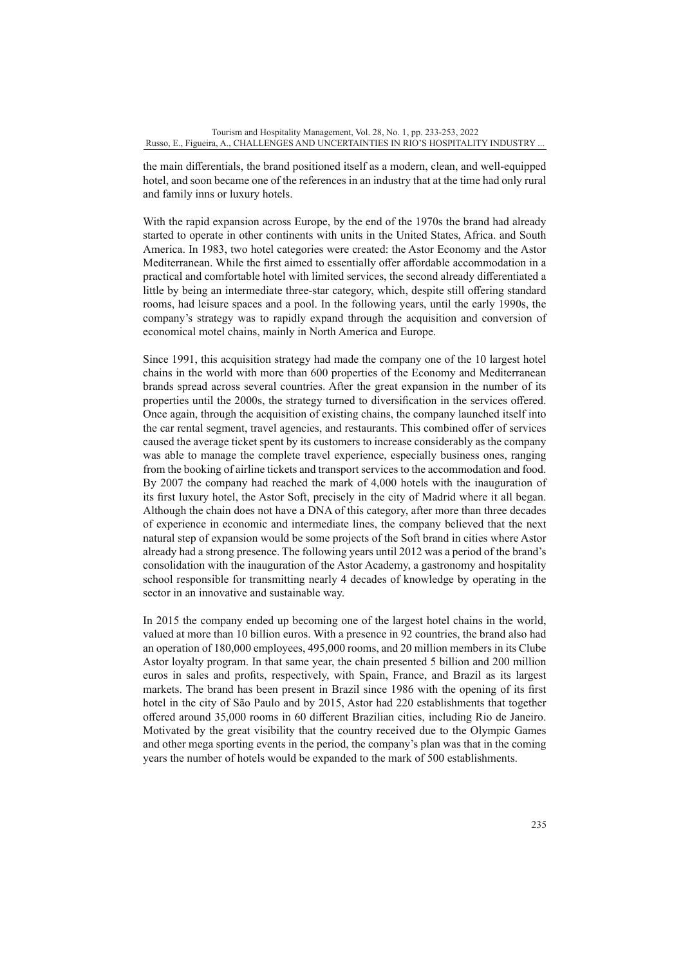the main differentials, the brand positioned itself as a modern, clean, and well-equipped hotel, and soon became one of the references in an industry that at the time had only rural and family inns or luxury hotels.

With the rapid expansion across Europe, by the end of the 1970s the brand had already started to operate in other continents with units in the United States, Africa. and South America. In 1983, two hotel categories were created: the Astor Economy and the Astor Mediterranean. While the first aimed to essentially offer affordable accommodation in a practical and comfortable hotel with limited services, the second already differentiated a little by being an intermediate three-star category, which, despite still offering standard rooms, had leisure spaces and a pool. In the following years, until the early 1990s, the company's strategy was to rapidly expand through the acquisition and conversion of economical motel chains, mainly in North America and Europe.

Since 1991, this acquisition strategy had made the company one of the 10 largest hotel chains in the world with more than 600 properties of the Economy and Mediterranean brands spread across several countries. After the great expansion in the number of its properties until the 2000s, the strategy turned to diversification in the services offered. Once again, through the acquisition of existing chains, the company launched itself into the car rental segment, travel agencies, and restaurants. This combined offer of services caused the average ticket spent by its customers to increase considerably as the company was able to manage the complete travel experience, especially business ones, ranging from the booking of airline tickets and transport services to the accommodation and food. By 2007 the company had reached the mark of 4,000 hotels with the inauguration of its first luxury hotel, the Astor Soft, precisely in the city of Madrid where it all began. Although the chain does not have a DNA of this category, after more than three decades of experience in economic and intermediate lines, the company believed that the next natural step of expansion would be some projects of the Soft brand in cities where Astor already had a strong presence. The following years until 2012 was a period of the brand's consolidation with the inauguration of the Astor Academy, a gastronomy and hospitality school responsible for transmitting nearly 4 decades of knowledge by operating in the sector in an innovative and sustainable way.

In 2015 the company ended up becoming one of the largest hotel chains in the world, valued at more than 10 billion euros. With a presence in 92 countries, the brand also had an operation of 180,000 employees, 495,000 rooms, and 20 million members in its Clube Astor loyalty program. In that same year, the chain presented 5 billion and 200 million euros in sales and profits, respectively, with Spain, France, and Brazil as its largest markets. The brand has been present in Brazil since 1986 with the opening of its first hotel in the city of São Paulo and by 2015, Astor had 220 establishments that together offered around 35,000 rooms in 60 different Brazilian cities, including Rio de Janeiro. Motivated by the great visibility that the country received due to the Olympic Games and other mega sporting events in the period, the company's plan was that in the coming years the number of hotels would be expanded to the mark of 500 establishments.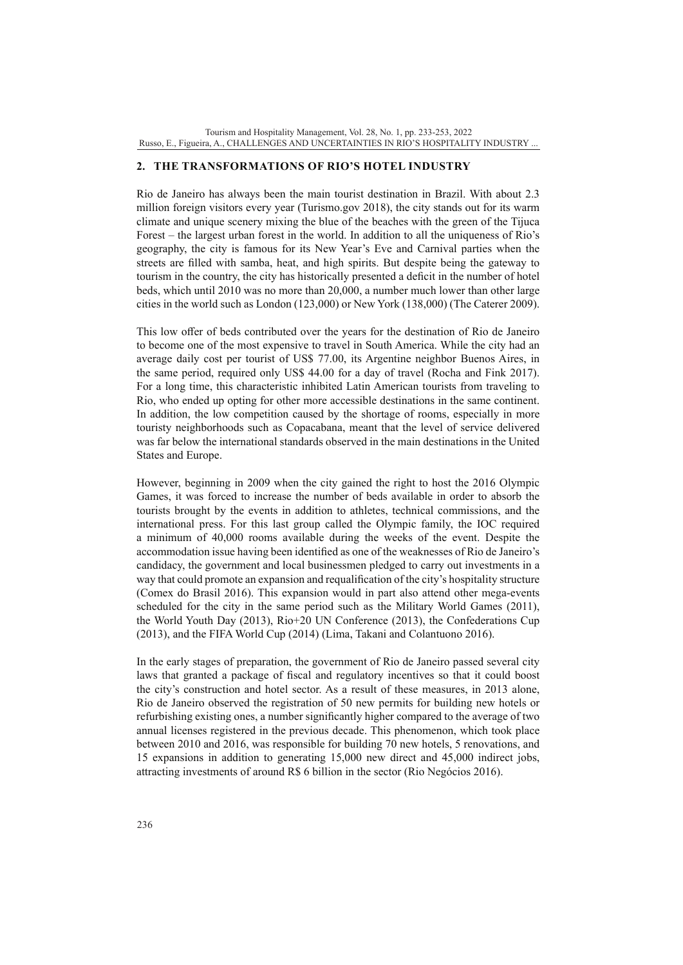#### **2. THE TRANSFORMATIONS OF RIO'S HOTEL INDUSTRY**

Rio de Janeiro has always been the main tourist destination in Brazil. With about 2.3 million foreign visitors every year (Turismo.gov 2018), the city stands out for its warm climate and unique scenery mixing the blue of the beaches with the green of the Tijuca Forest – the largest urban forest in the world. In addition to all the uniqueness of Rio's geography, the city is famous for its New Year's Eve and Carnival parties when the streets are filled with samba, heat, and high spirits. But despite being the gateway to tourism in the country, the city has historically presented a deficit in the number of hotel beds, which until 2010 was no more than 20,000, a number much lower than other large cities in the world such as London (123,000) or New York (138,000) (The Caterer 2009).

This low offer of beds contributed over the years for the destination of Rio de Janeiro to become one of the most expensive to travel in South America. While the city had an average daily cost per tourist of US\$ 77.00, its Argentine neighbor Buenos Aires, in the same period, required only US\$ 44.00 for a day of travel (Rocha and Fink 2017). For a long time, this characteristic inhibited Latin American tourists from traveling to Rio, who ended up opting for other more accessible destinations in the same continent. In addition, the low competition caused by the shortage of rooms, especially in more touristy neighborhoods such as Copacabana, meant that the level of service delivered was far below the international standards observed in the main destinations in the United States and Europe.

However, beginning in 2009 when the city gained the right to host the 2016 Olympic Games, it was forced to increase the number of beds available in order to absorb the tourists brought by the events in addition to athletes, technical commissions, and the international press. For this last group called the Olympic family, the IOC required a minimum of 40,000 rooms available during the weeks of the event. Despite the accommodation issue having been identified as one of the weaknesses of Rio de Janeiro's candidacy, the government and local businessmen pledged to carry out investments in a way that could promote an expansion and requalification of the city's hospitality structure (Comex do Brasil 2016). This expansion would in part also attend other mega-events scheduled for the city in the same period such as the Military World Games (2011), the World Youth Day (2013), Rio+20 UN Conference (2013), the Confederations Cup (2013), and the FIFA World Cup (2014) (Lima, Takani and Colantuono 2016).

In the early stages of preparation, the government of Rio de Janeiro passed several city laws that granted a package of fiscal and regulatory incentives so that it could boost the city's construction and hotel sector. As a result of these measures, in 2013 alone, Rio de Janeiro observed the registration of 50 new permits for building new hotels or refurbishing existing ones, a number significantly higher compared to the average of two annual licenses registered in the previous decade. This phenomenon, which took place between 2010 and 2016, was responsible for building 70 new hotels, 5 renovations, and 15 expansions in addition to generating 15,000 new direct and 45,000 indirect jobs, attracting investments of around R\$ 6 billion in the sector (Rio Negócios 2016).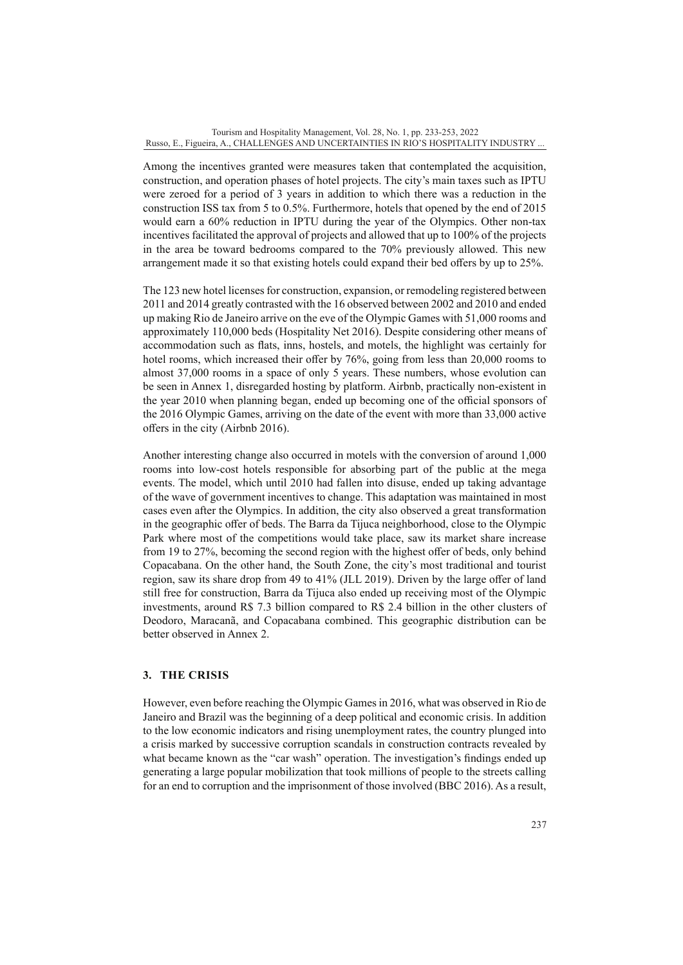Among the incentives granted were measures taken that contemplated the acquisition, construction, and operation phases of hotel projects. The city's main taxes such as IPTU were zeroed for a period of 3 years in addition to which there was a reduction in the construction ISS tax from 5 to 0.5%. Furthermore, hotels that opened by the end of 2015 would earn a 60% reduction in IPTU during the year of the Olympics. Other non-tax incentives facilitated the approval of projects and allowed that up to 100% of the projects in the area be toward bedrooms compared to the 70% previously allowed. This new arrangement made it so that existing hotels could expand their bed offers by up to 25%.

The 123 new hotel licenses for construction, expansion, or remodeling registered between 2011 and 2014 greatly contrasted with the 16 observed between 2002 and 2010 and ended up making Rio de Janeiro arrive on the eve of the Olympic Games with 51,000 rooms and approximately 110,000 beds (Hospitality Net 2016). Despite considering other means of accommodation such as flats, inns, hostels, and motels, the highlight was certainly for hotel rooms, which increased their offer by 76%, going from less than 20,000 rooms to almost 37,000 rooms in a space of only 5 years. These numbers, whose evolution can be seen in Annex 1, disregarded hosting by platform. Airbnb, practically non-existent in the year 2010 when planning began, ended up becoming one of the official sponsors of the 2016 Olympic Games, arriving on the date of the event with more than 33,000 active offers in the city (Airbnb 2016).

Another interesting change also occurred in motels with the conversion of around 1,000 rooms into low-cost hotels responsible for absorbing part of the public at the mega events. The model, which until 2010 had fallen into disuse, ended up taking advantage of the wave of government incentives to change. This adaptation was maintained in most cases even after the Olympics. In addition, the city also observed a great transformation in the geographic offer of beds. The Barra da Tijuca neighborhood, close to the Olympic Park where most of the competitions would take place, saw its market share increase from 19 to 27%, becoming the second region with the highest offer of beds, only behind Copacabana. On the other hand, the South Zone, the city's most traditional and tourist region, saw its share drop from 49 to 41% (JLL 2019). Driven by the large offer of land still free for construction, Barra da Tijuca also ended up receiving most of the Olympic investments, around R\$ 7.3 billion compared to R\$ 2.4 billion in the other clusters of Deodoro, Maracanã, and Copacabana combined. This geographic distribution can be better observed in Annex 2.

# **3. THE CRISIS**

However, even before reaching the Olympic Games in 2016, what was observed in Rio de Janeiro and Brazil was the beginning of a deep political and economic crisis. In addition to the low economic indicators and rising unemployment rates, the country plunged into a crisis marked by successive corruption scandals in construction contracts revealed by what became known as the "car wash" operation. The investigation's findings ended up generating a large popular mobilization that took millions of people to the streets calling for an end to corruption and the imprisonment of those involved (BBC 2016). As a result,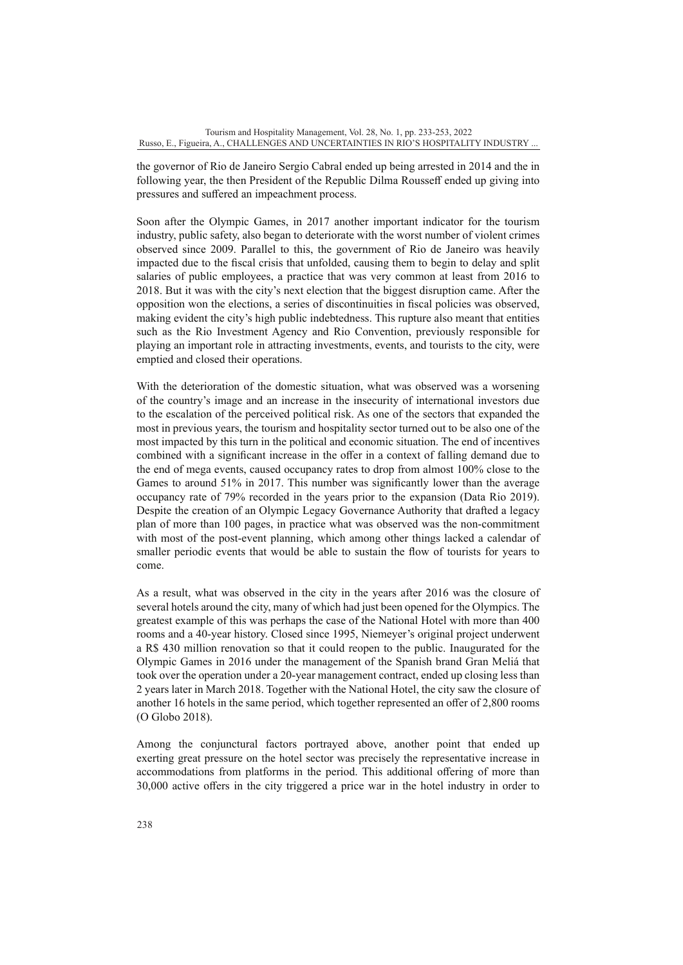the governor of Rio de Janeiro Sergio Cabral ended up being arrested in 2014 and the in following year, the then President of the Republic Dilma Rousseff ended up giving into pressures and suffered an impeachment process.

Soon after the Olympic Games, in 2017 another important indicator for the tourism industry, public safety, also began to deteriorate with the worst number of violent crimes observed since 2009. Parallel to this, the government of Rio de Janeiro was heavily impacted due to the fiscal crisis that unfolded, causing them to begin to delay and split salaries of public employees, a practice that was very common at least from 2016 to 2018. But it was with the city's next election that the biggest disruption came. After the opposition won the elections, a series of discontinuities in fiscal policies was observed, making evident the city's high public indebtedness. This rupture also meant that entities such as the Rio Investment Agency and Rio Convention, previously responsible for playing an important role in attracting investments, events, and tourists to the city, were emptied and closed their operations.

With the deterioration of the domestic situation, what was observed was a worsening of the country's image and an increase in the insecurity of international investors due to the escalation of the perceived political risk. As one of the sectors that expanded the most in previous years, the tourism and hospitality sector turned out to be also one of the most impacted by this turn in the political and economic situation. The end of incentives combined with a significant increase in the offer in a context of falling demand due to the end of mega events, caused occupancy rates to drop from almost 100% close to the Games to around 51% in 2017. This number was significantly lower than the average occupancy rate of 79% recorded in the years prior to the expansion (Data Rio 2019). Despite the creation of an Olympic Legacy Governance Authority that drafted a legacy plan of more than 100 pages, in practice what was observed was the non-commitment with most of the post-event planning, which among other things lacked a calendar of smaller periodic events that would be able to sustain the flow of tourists for years to come.

As a result, what was observed in the city in the years after 2016 was the closure of several hotels around the city, many of which had just been opened for the Olympics. The greatest example of this was perhaps the case of the National Hotel with more than 400 rooms and a 40-year history. Closed since 1995, Niemeyer's original project underwent a R\$ 430 million renovation so that it could reopen to the public. Inaugurated for the Olympic Games in 2016 under the management of the Spanish brand Gran Meliá that took over the operation under a 20-year management contract, ended up closing less than 2 years later in March 2018. Together with the National Hotel, the city saw the closure of another 16 hotels in the same period, which together represented an offer of 2,800 rooms (O Globo 2018).

Among the conjunctural factors portrayed above, another point that ended up exerting great pressure on the hotel sector was precisely the representative increase in accommodations from platforms in the period. This additional offering of more than 30,000 active offers in the city triggered a price war in the hotel industry in order to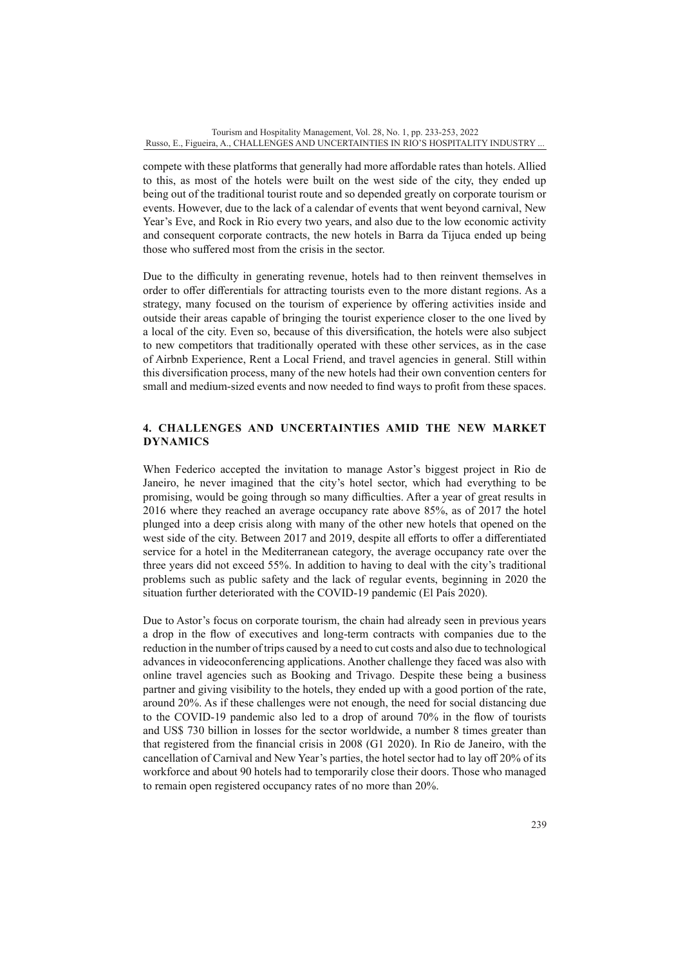compete with these platforms that generally had more affordable rates than hotels. Allied to this, as most of the hotels were built on the west side of the city, they ended up being out of the traditional tourist route and so depended greatly on corporate tourism or events. However, due to the lack of a calendar of events that went beyond carnival, New Year's Eve, and Rock in Rio every two years, and also due to the low economic activity and consequent corporate contracts, the new hotels in Barra da Tijuca ended up being those who suffered most from the crisis in the sector.

Due to the difficulty in generating revenue, hotels had to then reinvent themselves in order to offer differentials for attracting tourists even to the more distant regions. As a strategy, many focused on the tourism of experience by offering activities inside and outside their areas capable of bringing the tourist experience closer to the one lived by a local of the city. Even so, because of this diversification, the hotels were also subject to new competitors that traditionally operated with these other services, as in the case of Airbnb Experience, Rent a Local Friend, and travel agencies in general. Still within this diversification process, many of the new hotels had their own convention centers for small and medium-sized events and now needed to find ways to profit from these spaces.

# **4. CHALLENGES AND UNCERTAINTIES AMID THE NEW MARKET DYNAMICS**

When Federico accepted the invitation to manage Astor's biggest project in Rio de Janeiro, he never imagined that the city's hotel sector, which had everything to be promising, would be going through so many difficulties. After a year of great results in 2016 where they reached an average occupancy rate above 85%, as of 2017 the hotel plunged into a deep crisis along with many of the other new hotels that opened on the west side of the city. Between 2017 and 2019, despite all efforts to offer a differentiated service for a hotel in the Mediterranean category, the average occupancy rate over the three years did not exceed 55%. In addition to having to deal with the city's traditional problems such as public safety and the lack of regular events, beginning in 2020 the situation further deteriorated with the COVID-19 pandemic (El País 2020).

Due to Astor's focus on corporate tourism, the chain had already seen in previous years a drop in the flow of executives and long-term contracts with companies due to the reduction in the number of trips caused by a need to cut costs and also due to technological advances in videoconferencing applications. Another challenge they faced was also with online travel agencies such as Booking and Trivago. Despite these being a business partner and giving visibility to the hotels, they ended up with a good portion of the rate, around 20%. As if these challenges were not enough, the need for social distancing due to the COVID-19 pandemic also led to a drop of around 70% in the flow of tourists and US\$ 730 billion in losses for the sector worldwide, a number 8 times greater than that registered from the financial crisis in 2008 (G1 2020). In Rio de Janeiro, with the cancellation of Carnival and New Year's parties, the hotel sector had to lay off 20% of its workforce and about 90 hotels had to temporarily close their doors. Those who managed to remain open registered occupancy rates of no more than 20%.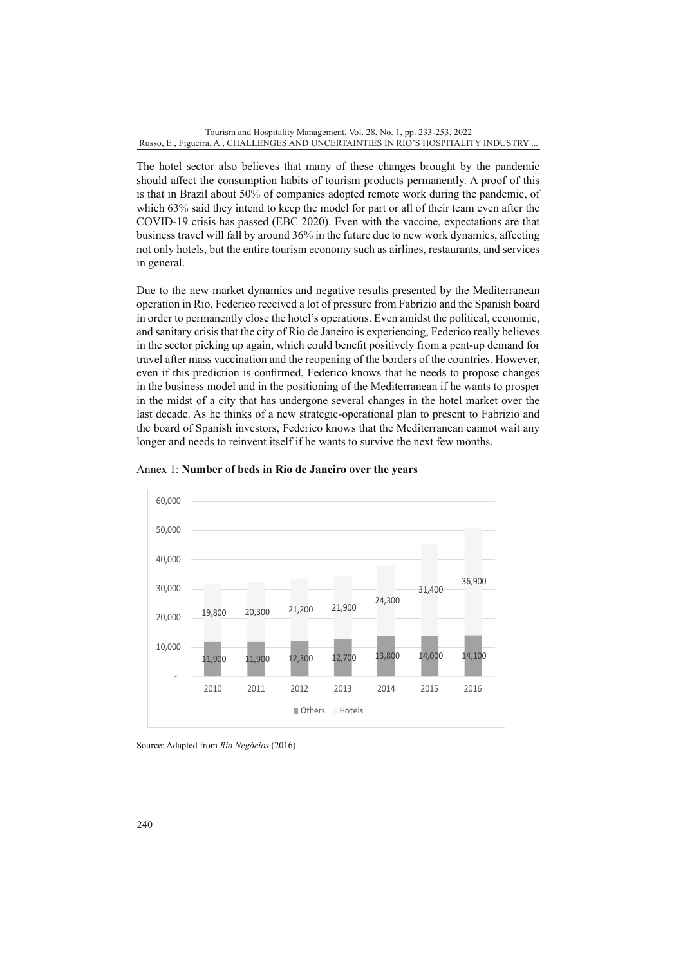The hotel sector also believes that many of these changes brought by the pandemic should affect the consumption habits of tourism products permanently. A proof of this is that in Brazil about 50% of companies adopted remote work during the pandemic, of which 63% said they intend to keep the model for part or all of their team even after the COVID-19 crisis has passed (EBC 2020). Even with the vaccine, expectations are that business travel will fall by around 36% in the future due to new work dynamics, affecting not only hotels, but the entire tourism economy such as airlines, restaurants, and services in general.

Due to the new market dynamics and negative results presented by the Mediterranean operation in Rio, Federico received a lot of pressure from Fabrizio and the Spanish board in order to permanently close the hotel's operations. Even amidst the political, economic, and sanitary crisis that the city of Rio de Janeiro is experiencing, Federico really believes in the sector picking up again, which could benefit positively from a pent-up demand for travel after mass vaccination and the reopening of the borders of the countries. However, even if this prediction is confirmed, Federico knows that he needs to propose changes in the business model and in the positioning of the Mediterranean if he wants to prosper in the midst of a city that has undergone several changes in the hotel market over the last decade. As he thinks of a new strategic-operational plan to present to Fabrizio and the board of Spanish investors, Federico knows that the Mediterranean cannot wait any longer and needs to reinvent itself if he wants to survive the next few months.



Annex 1: **Number of beds in Rio de Janeiro over the years**

Source: Adapted from *Rio Negócios* (2016)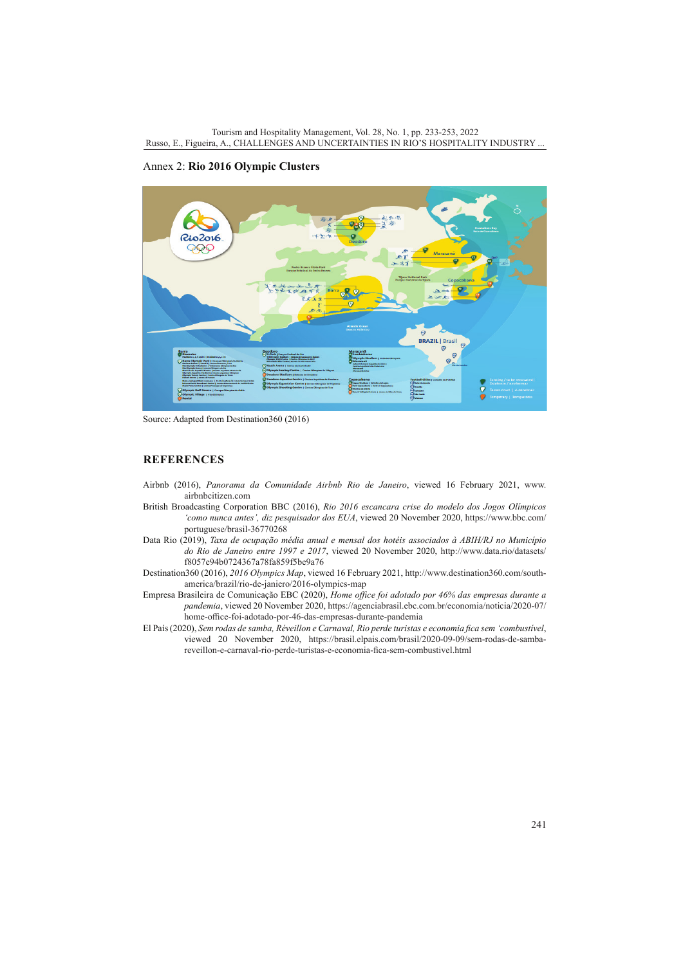# Annex 2: **Rio 2016 Olympic Clusters**



Source: Adapted from Destination360 (2016)

# **REFERENCES**

- Airbnb (2016), *Panorama da Comunidade Airbnb Rio de Janeiro*, viewed 16 February 2021, [www.](http://www.airbnbcitizen.com) [airbnbcitizen.com](http://www.airbnbcitizen.com)
- British Broadcasting Corporation BBC (2016), *Rio 2016 escancara crise do modelo dos Jogos Olímpicos 'como nunca antes', diz pesquisador dos EUA*, viewed 20 November 2020, [https://www.bbc.com/](https://www.bbc.com/portuguese/brasil-36770268) [portuguese/brasil-36770268](https://www.bbc.com/portuguese/brasil-36770268)
- Data Rio (2019), *Taxa de ocupação média anual e mensal dos hotéis associados à ABIH/RJ no Município do Rio de Janeiro entre 1997 e 2017*, viewed 20 November 2020, [http://www.data.rio/datasets/](http://www.data.rio/datasets/f8057e94b0724367a78fa859f5be9a76) [f8057e94b0724367a78fa859f5be9a76](http://www.data.rio/datasets/f8057e94b0724367a78fa859f5be9a76)
- Destination360 (2016), *2016 Olympics Map*, viewed 16 February 2021, [http://www.destination360.com/south](http://www.destination360.com/south-america/brazil/rio-de-janiero/2016-olympics-map)[america/brazil/rio-de-janiero/2016-olympics-map](http://www.destination360.com/south-america/brazil/rio-de-janiero/2016-olympics-map)
- Empresa Brasileira de Comunicação EBC (2020), *Home office foi adotado por 46% das empresas durante a pandemia*, viewed 20 November 2020, [https://agenciabrasil.ebc.com.br/economia/noticia/2020-07/](https://agenciabrasil.ebc.com.br/economia/noticia/2020-07/home-office-foi-adotado-por-46-das-empresas-durante-pandemia) [home-office-foi-adotado-por-46-das-empresas-durante-pandemia](https://agenciabrasil.ebc.com.br/economia/noticia/2020-07/home-office-foi-adotado-por-46-das-empresas-durante-pandemia)
- El País (2020), *Sem rodas de samba, Réveillon e Carnaval, Rio perde turistas e economia fica sem 'combustível*, viewed 20 November 2020, [https://brasil.elpais.com/brasil/2020-09-09/sem-rodas-de-samba](https://brasil.elpais.com/brasil/2020-09-09/sem-rodas-de-samba-reveillon-e-carnaval-rio-perde-turistas-e-economia-fica-sem-combustivel.html)[reveillon-e-carnaval-rio-perde-turistas-e-economia-fica-sem-combustivel.html](https://brasil.elpais.com/brasil/2020-09-09/sem-rodas-de-samba-reveillon-e-carnaval-rio-perde-turistas-e-economia-fica-sem-combustivel.html)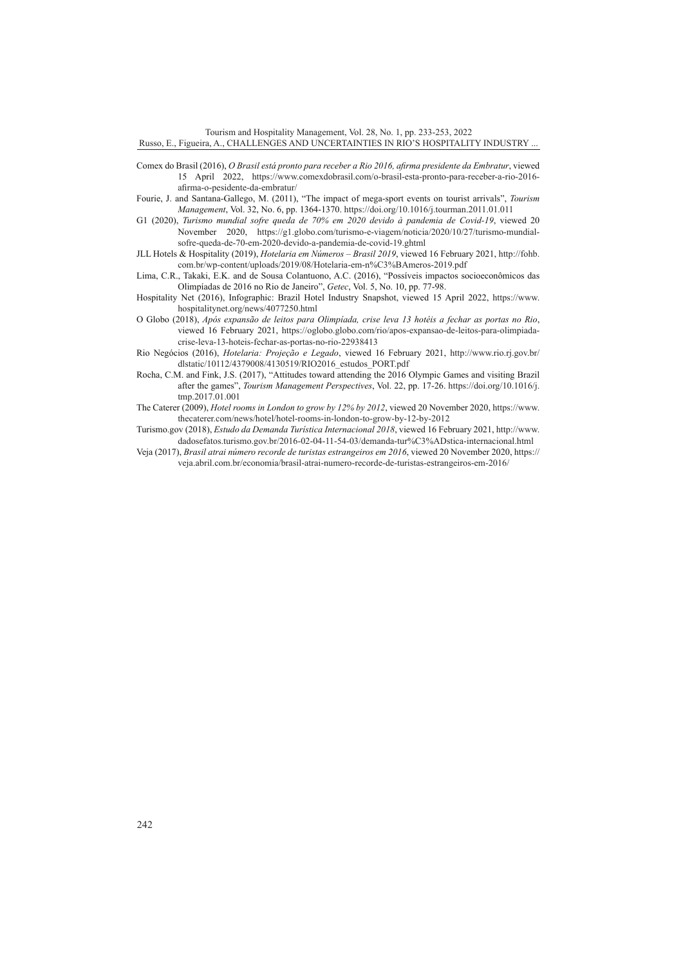Tourism and Hospitality Management, Vol. 28, No. 1, pp. 233-253, 2022 Russo, E., Figueira, A., CHALLENGES AND UNCERTAINTIES IN RIO'S HOSPITALITY INDUSTRY ...

- Comex do Brasil (2016), *O Brasil está pronto para receber a Rio 2016, afirma presidente da Embratur*, viewed 15 April 2022, [https://www.comexdobrasil.com/o-brasil-esta-pronto-para-receber-a-rio-2016](https://www.comexdobrasil.com/o-brasil-esta-pronto-para-receber-a-rio-2016-afirma-o-pesidente-da-embratur/) [afirma-o-pesidente-da-embratur/](https://www.comexdobrasil.com/o-brasil-esta-pronto-para-receber-a-rio-2016-afirma-o-pesidente-da-embratur/)
- Fourie, J. and Santana-Gallego, M. (2011), "The impact of mega-sport events on tourist arrivals", *Tourism Management*, Vol. 32, No. 6, pp. 1364-1370.<https://doi.org/10.1016/j.tourman.2011.01.011>
- G1 (2020), *Turismo mundial sofre queda de 70% em 2020 devido à pandemia de Covid-19*, viewed 20 November 2020, [https://g1.globo.com/turismo-e-viagem/noticia/2020/10/27/turismo-mundial](https://g1.globo.com/turismo-e-viagem/noticia/2020/10/27/turismo-mundial-sofre-queda-de-70-em-2020-devido-a-pandemia-de-covid-19.ghtml)[sofre-queda-de-70-em-2020-devido-a-pandemia-de-covid-19.ghtml](https://g1.globo.com/turismo-e-viagem/noticia/2020/10/27/turismo-mundial-sofre-queda-de-70-em-2020-devido-a-pandemia-de-covid-19.ghtml)
- JLL Hotels & Hospitality (2019), *Hotelaria em Números Brasil 2019*, viewed 16 February 2021, [http://fohb.](http://fohb.com.br/wp-content/uploads/2019/08/Hotelaria-em-n%C3%BAmeros-2019.pdf) [com.br/wp-content/uploads/2019/08/Hotelaria-em-n%C3%BAmeros-2019.pdf](http://fohb.com.br/wp-content/uploads/2019/08/Hotelaria-em-n%C3%BAmeros-2019.pdf)
- Lima, C.R., Takaki, E.K. and de Sousa Colantuono, A.C. (2016), "Possíveis impactos socioeconômicos das Olimpíadas de 2016 no Rio de Janeiro", *Getec*, Vol. 5, No. 10, pp. 77-98.
- Hospitality Net (2016), Infographic: Brazil Hotel Industry Snapshot, viewed 15 April 2022, [https://www.](https://www.hospitalitynet.org/news/4077250.html) [hospitalitynet.org/news/4077250.html](https://www.hospitalitynet.org/news/4077250.html)
- O Globo (2018), *Após expansão de leitos para Olimpíada, crise leva 13 hotéis a fechar as portas no Rio*, viewed 16 February 2021, [https://oglobo.globo.com/rio/apos-expansao-de-leitos-para-olimpiada](https://oglobo.globo.com/rio/apos-expansao-de-leitos-para-olimpiada-crise-leva-13-hoteis-fechar-as-portas-no-rio-22938413)[crise-leva-13-hoteis-fechar-as-portas-no-rio-22938413](https://oglobo.globo.com/rio/apos-expansao-de-leitos-para-olimpiada-crise-leva-13-hoteis-fechar-as-portas-no-rio-22938413)
- Rio Negócios (2016), *Hotelaria: Projeção e Legado*, viewed 16 February 2021, [http://www.rio.rj.gov.br/](http://www.rio.rj.gov.br/dlstatic/10112/4379008/4130519/RIO2016_estudos_PORT.pdf) [dlstatic/10112/4379008/4130519/RIO2016\\_estudos\\_PORT.pdf](http://www.rio.rj.gov.br/dlstatic/10112/4379008/4130519/RIO2016_estudos_PORT.pdf)
- Rocha, C.M. and Fink, J.S. (2017), "Attitudes toward attending the 2016 Olympic Games and visiting Brazil after the games", *Tourism Management Perspectives*, Vol. 22, pp. 17-26. [https://doi.org/10.1016/j.](https://doi.org/10.1016/j.tmp.2017.01.001) [tmp.2017.01.001](https://doi.org/10.1016/j.tmp.2017.01.001)
- The Caterer (2009), *Hotel rooms in London to grow by 12% by 2012*, viewed 20 November 2020, [https://www.](https://www.thecaterer.com/news/hotel/hotel-rooms-in-london-to-grow-by-12-by-2012) [thecaterer.com/news/hotel/hotel-rooms-in-london-to-grow-by-12-by-2012](https://www.thecaterer.com/news/hotel/hotel-rooms-in-london-to-grow-by-12-by-2012)
- Turismo.gov (2018), *Estudo da Demanda Turística Internacional 2018*, viewed 16 February 2021, [http://www.](http://www.dadosefatos.turismo.gov.br/2016-02-04-11-54-03/demanda-tur%C3%ADstica-internacional.html) [dadosefatos.turismo.gov.br/2016-02-04-11-54-03/demanda-tur%C3%ADstica-internacional.html](http://www.dadosefatos.turismo.gov.br/2016-02-04-11-54-03/demanda-tur%C3%ADstica-internacional.html)
- Veja (2017), *Brasil atrai número recorde de turistas estrangeiros em 2016*, viewed 20 November 2020, [https://](https://veja.abril.com.br/economia/brasil-atrai-numero-recorde-de-turistas-estrangeiros-em-2016/) [veja.abril.com.br/economia/brasil-atrai-numero-recorde-de-turistas-estrangeiros-em-2016/](https://veja.abril.com.br/economia/brasil-atrai-numero-recorde-de-turistas-estrangeiros-em-2016/)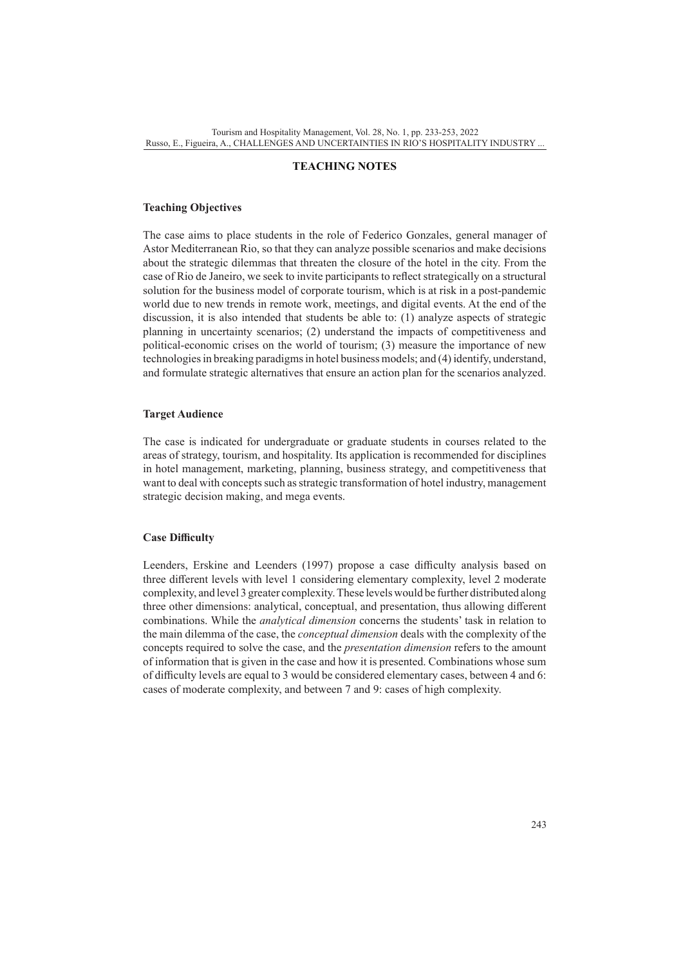#### **TEACHING NOTES**

#### **Teaching Objectives**

The case aims to place students in the role of Federico Gonzales, general manager of Astor Mediterranean Rio, so that they can analyze possible scenarios and make decisions about the strategic dilemmas that threaten the closure of the hotel in the city. From the case of Rio de Janeiro, we seek to invite participants to reflect strategically on a structural solution for the business model of corporate tourism, which is at risk in a post-pandemic world due to new trends in remote work, meetings, and digital events. At the end of the discussion, it is also intended that students be able to: (1) analyze aspects of strategic planning in uncertainty scenarios; (2) understand the impacts of competitiveness and political-economic crises on the world of tourism; (3) measure the importance of new technologies in breaking paradigms in hotel business models; and (4) identify, understand, and formulate strategic alternatives that ensure an action plan for the scenarios analyzed.

#### **Target Audience**

The case is indicated for undergraduate or graduate students in courses related to the areas of strategy, tourism, and hospitality. Its application is recommended for disciplines in hotel management, marketing, planning, business strategy, and competitiveness that want to deal with concepts such as strategic transformation of hotel industry, management strategic decision making, and mega events.

#### **Case Difficulty**

Leenders, Erskine and Leenders (1997) propose a case difficulty analysis based on three different levels with level 1 considering elementary complexity, level 2 moderate complexity, and level 3 greater complexity. These levels would be further distributed along three other dimensions: analytical, conceptual, and presentation, thus allowing different combinations. While the *analytical dimension* concerns the students' task in relation to the main dilemma of the case, the *conceptual dimension* deals with the complexity of the concepts required to solve the case, and the *presentation dimension* refers to the amount of information that is given in the case and how it is presented. Combinations whose sum of difficulty levels are equal to 3 would be considered elementary cases, between 4 and 6: cases of moderate complexity, and between 7 and 9: cases of high complexity.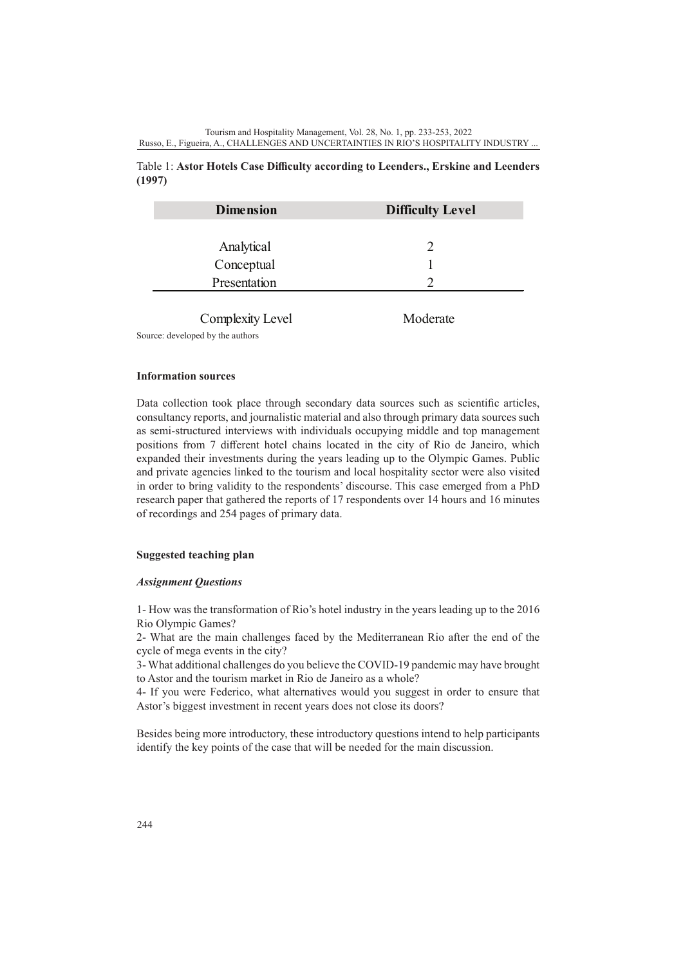# Table 1: **Astor Hotels Case Difficulty according to Leenders., Erskine and Leenders (1997)**

| <b>Dimension</b> | <b>Difficulty Level</b> |
|------------------|-------------------------|
|                  |                         |
| Analytical       |                         |
| Conceptual       |                         |
| Presentation     |                         |
|                  |                         |

Complexity Level Moderate

Source: developed by the authors

### **Information sources**

Data collection took place through secondary data sources such as scientific articles, consultancy reports, and journalistic material and also through primary data sources such as semi-structured interviews with individuals occupying middle and top management positions from 7 different hotel chains located in the city of Rio de Janeiro, which expanded their investments during the years leading up to the Olympic Games. Public and private agencies linked to the tourism and local hospitality sector were also visited in order to bring validity to the respondents' discourse. This case emerged from a PhD research paper that gathered the reports of 17 respondents over 14 hours and 16 minutes of recordings and 254 pages of primary data.

# **Suggested teaching plan**

### *Assignment Questions*

1- How was the transformation of Rio's hotel industry in the years leading up to the 2016 Rio Olympic Games?

2- What are the main challenges faced by the Mediterranean Rio after the end of the cycle of mega events in the city?

3- What additional challenges do you believe the COVID-19 pandemic may have brought to Astor and the tourism market in Rio de Janeiro as a whole?

4- If you were Federico, what alternatives would you suggest in order to ensure that Astor's biggest investment in recent years does not close its doors?

Besides being more introductory, these introductory questions intend to help participants identify the key points of the case that will be needed for the main discussion.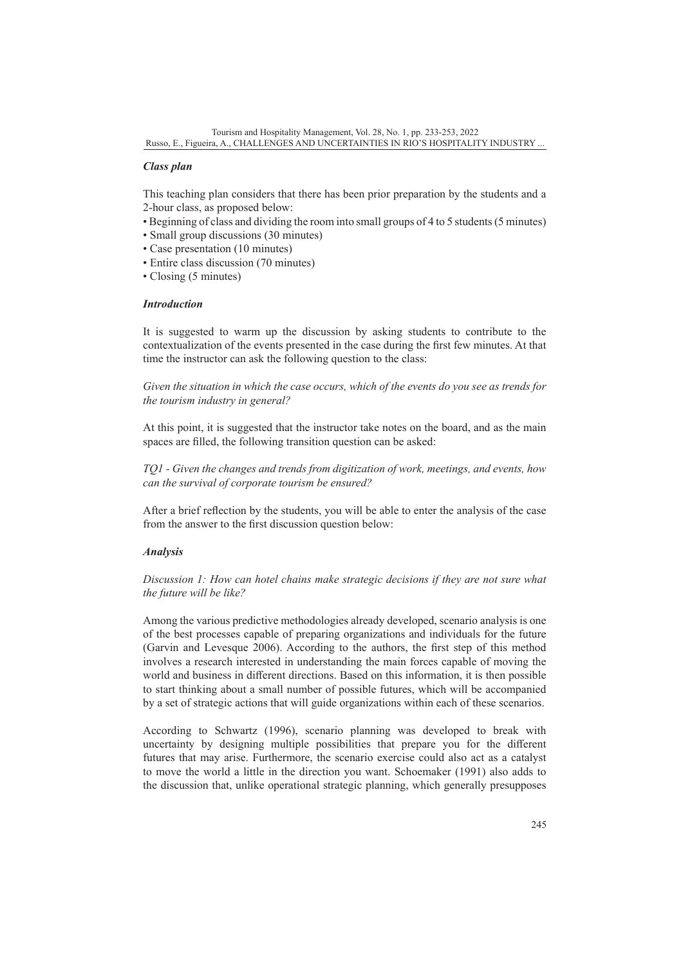## *Class plan*

This teaching plan considers that there has been prior preparation by the students and a 2-hour class, as proposed below:

- Beginning of class and dividing the room into small groups of 4 to 5 students (5 minutes)
- Small group discussions (30 minutes)
- Case presentation (10 minutes)
- Entire class discussion (70 minutes)
- Closing (5 minutes)

#### *Introduction*

It is suggested to warm up the discussion by asking students to contribute to the contextualization of the events presented in the case during the first few minutes. At that time the instructor can ask the following question to the class:

*Given the situation in which the case occurs, which of the events do you see as trends for the tourism industry in general?*

At this point, it is suggested that the instructor take notes on the board, and as the main spaces are filled, the following transition question can be asked:

*TQ1 - Given the changes and trends from digitization of work, meetings, and events, how can the survival of corporate tourism be ensured?*

After a brief reflection by the students, you will be able to enter the analysis of the case from the answer to the first discussion question below:

### *Analysis*

*Discussion 1: How can hotel chains make strategic decisions if they are not sure what the future will be like?*

Among the various predictive methodologies already developed, scenario analysis is one of the best processes capable of preparing organizations and individuals for the future (Garvin and Levesque 2006). According to the authors, the first step of this method involves a research interested in understanding the main forces capable of moving the world and business in different directions. Based on this information, it is then possible to start thinking about a small number of possible futures, which will be accompanied by a set of strategic actions that will guide organizations within each of these scenarios.

According to Schwartz (1996), scenario planning was developed to break with uncertainty by designing multiple possibilities that prepare you for the different futures that may arise. Furthermore, the scenario exercise could also act as a catalyst to move the world a little in the direction you want. Schoemaker (1991) also adds to the discussion that, unlike operational strategic planning, which generally presupposes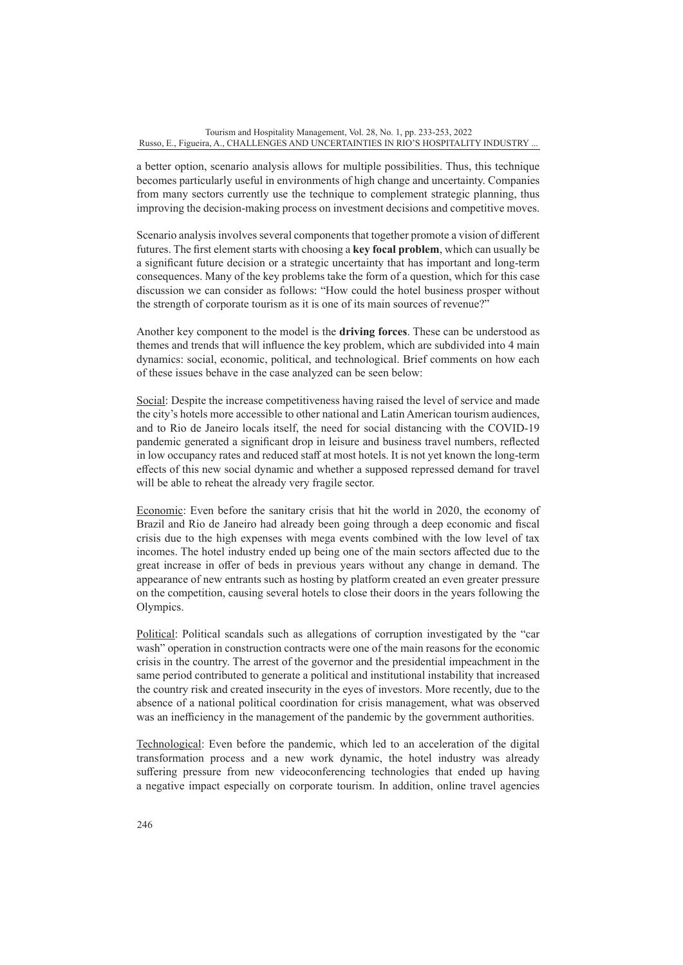a better option, scenario analysis allows for multiple possibilities. Thus, this technique becomes particularly useful in environments of high change and uncertainty. Companies from many sectors currently use the technique to complement strategic planning, thus improving the decision-making process on investment decisions and competitive moves.

Scenario analysis involves several components that together promote a vision of different futures. The first element starts with choosing a **key focal problem**, which can usually be a significant future decision or a strategic uncertainty that has important and long-term consequences. Many of the key problems take the form of a question, which for this case discussion we can consider as follows: "How could the hotel business prosper without the strength of corporate tourism as it is one of its main sources of revenue?"

Another key component to the model is the **driving forces**. These can be understood as themes and trends that will influence the key problem, which are subdivided into 4 main dynamics: social, economic, political, and technological. Brief comments on how each of these issues behave in the case analyzed can be seen below:

Social: Despite the increase competitiveness having raised the level of service and made the city's hotels more accessible to other national and Latin American tourism audiences, and to Rio de Janeiro locals itself, the need for social distancing with the COVID-19 pandemic generated a significant drop in leisure and business travel numbers, reflected in low occupancy rates and reduced staff at most hotels. It is not yet known the long-term effects of this new social dynamic and whether a supposed repressed demand for travel will be able to reheat the already very fragile sector.

Economic: Even before the sanitary crisis that hit the world in 2020, the economy of Brazil and Rio de Janeiro had already been going through a deep economic and fiscal crisis due to the high expenses with mega events combined with the low level of tax incomes. The hotel industry ended up being one of the main sectors affected due to the great increase in offer of beds in previous years without any change in demand. The appearance of new entrants such as hosting by platform created an even greater pressure on the competition, causing several hotels to close their doors in the years following the Olympics.

Political: Political scandals such as allegations of corruption investigated by the "car wash" operation in construction contracts were one of the main reasons for the economic crisis in the country. The arrest of the governor and the presidential impeachment in the same period contributed to generate a political and institutional instability that increased the country risk and created insecurity in the eyes of investors. More recently, due to the absence of a national political coordination for crisis management, what was observed was an inefficiency in the management of the pandemic by the government authorities.

Technological: Even before the pandemic, which led to an acceleration of the digital transformation process and a new work dynamic, the hotel industry was already suffering pressure from new videoconferencing technologies that ended up having a negative impact especially on corporate tourism. In addition, online travel agencies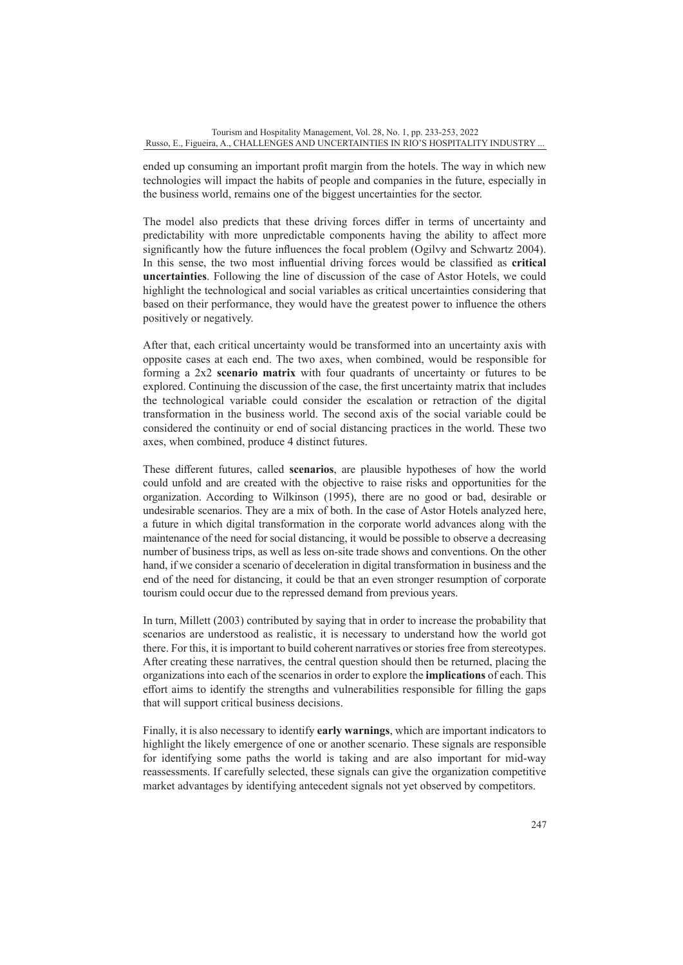ended up consuming an important profit margin from the hotels. The way in which new technologies will impact the habits of people and companies in the future, especially in the business world, remains one of the biggest uncertainties for the sector.

The model also predicts that these driving forces differ in terms of uncertainty and predictability with more unpredictable components having the ability to affect more significantly how the future influences the focal problem (Ogilvy and Schwartz 2004). In this sense, the two most influential driving forces would be classified as **critical uncertainties**. Following the line of discussion of the case of Astor Hotels, we could highlight the technological and social variables as critical uncertainties considering that based on their performance, they would have the greatest power to influence the others positively or negatively.

After that, each critical uncertainty would be transformed into an uncertainty axis with opposite cases at each end. The two axes, when combined, would be responsible for forming a 2x2 **scenario matrix** with four quadrants of uncertainty or futures to be explored. Continuing the discussion of the case, the first uncertainty matrix that includes the technological variable could consider the escalation or retraction of the digital transformation in the business world. The second axis of the social variable could be considered the continuity or end of social distancing practices in the world. These two axes, when combined, produce 4 distinct futures.

These different futures, called **scenarios**, are plausible hypotheses of how the world could unfold and are created with the objective to raise risks and opportunities for the organization. According to Wilkinson (1995), there are no good or bad, desirable or undesirable scenarios. They are a mix of both. In the case of Astor Hotels analyzed here, a future in which digital transformation in the corporate world advances along with the maintenance of the need for social distancing, it would be possible to observe a decreasing number of business trips, as well as less on-site trade shows and conventions. On the other hand, if we consider a scenario of deceleration in digital transformation in business and the end of the need for distancing, it could be that an even stronger resumption of corporate tourism could occur due to the repressed demand from previous years.

In turn, Millett (2003) contributed by saying that in order to increase the probability that scenarios are understood as realistic, it is necessary to understand how the world got there. For this, it is important to build coherent narratives or stories free from stereotypes. After creating these narratives, the central question should then be returned, placing the organizations into each of the scenarios in order to explore the **implications** of each. This effort aims to identify the strengths and vulnerabilities responsible for filling the gaps that will support critical business decisions.

Finally, it is also necessary to identify **early warnings**, which are important indicators to highlight the likely emergence of one or another scenario. These signals are responsible for identifying some paths the world is taking and are also important for mid-way reassessments. If carefully selected, these signals can give the organization competitive market advantages by identifying antecedent signals not yet observed by competitors.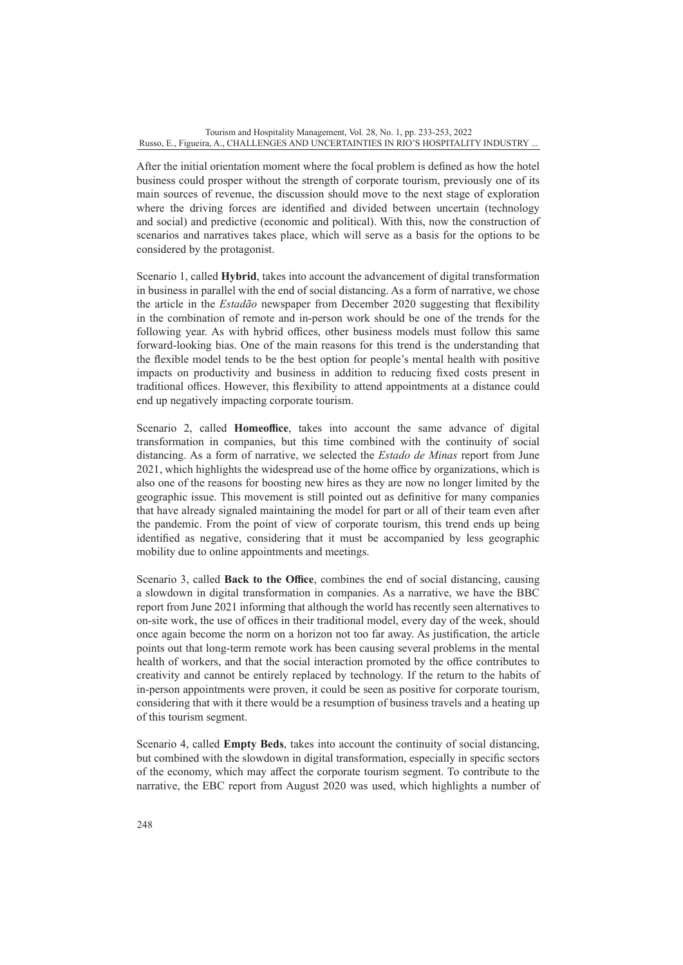After the initial orientation moment where the focal problem is defined as how the hotel business could prosper without the strength of corporate tourism, previously one of its main sources of revenue, the discussion should move to the next stage of exploration where the driving forces are identified and divided between uncertain (technology and social) and predictive (economic and political). With this, now the construction of scenarios and narratives takes place, which will serve as a basis for the options to be considered by the protagonist.

Scenario 1, called **Hybrid**, takes into account the advancement of digital transformation in business in parallel with the end of social distancing. As a form of narrative, we chose the article in the *Estadão* newspaper from December 2020 suggesting that flexibility in the combination of remote and in-person work should be one of the trends for the following year. As with hybrid offices, other business models must follow this same forward-looking bias. One of the main reasons for this trend is the understanding that the flexible model tends to be the best option for people's mental health with positive impacts on productivity and business in addition to reducing fixed costs present in traditional offices. However, this flexibility to attend appointments at a distance could end up negatively impacting corporate tourism.

Scenario 2, called **Homeoffice**, takes into account the same advance of digital transformation in companies, but this time combined with the continuity of social distancing. As a form of narrative, we selected the *Estado de Minas* report from June 2021, which highlights the widespread use of the home office by organizations, which is also one of the reasons for boosting new hires as they are now no longer limited by the geographic issue. This movement is still pointed out as definitive for many companies that have already signaled maintaining the model for part or all of their team even after the pandemic. From the point of view of corporate tourism, this trend ends up being identified as negative, considering that it must be accompanied by less geographic mobility due to online appointments and meetings.

Scenario 3, called **Back to the Office**, combines the end of social distancing, causing a slowdown in digital transformation in companies. As a narrative, we have the BBC report from June 2021 informing that although the world has recently seen alternatives to on-site work, the use of offices in their traditional model, every day of the week, should once again become the norm on a horizon not too far away. As justification, the article points out that long-term remote work has been causing several problems in the mental health of workers, and that the social interaction promoted by the office contributes to creativity and cannot be entirely replaced by technology. If the return to the habits of in-person appointments were proven, it could be seen as positive for corporate tourism, considering that with it there would be a resumption of business travels and a heating up of this tourism segment.

Scenario 4, called **Empty Beds**, takes into account the continuity of social distancing, but combined with the slowdown in digital transformation, especially in specific sectors of the economy, which may affect the corporate tourism segment. To contribute to the narrative, the EBC report from August 2020 was used, which highlights a number of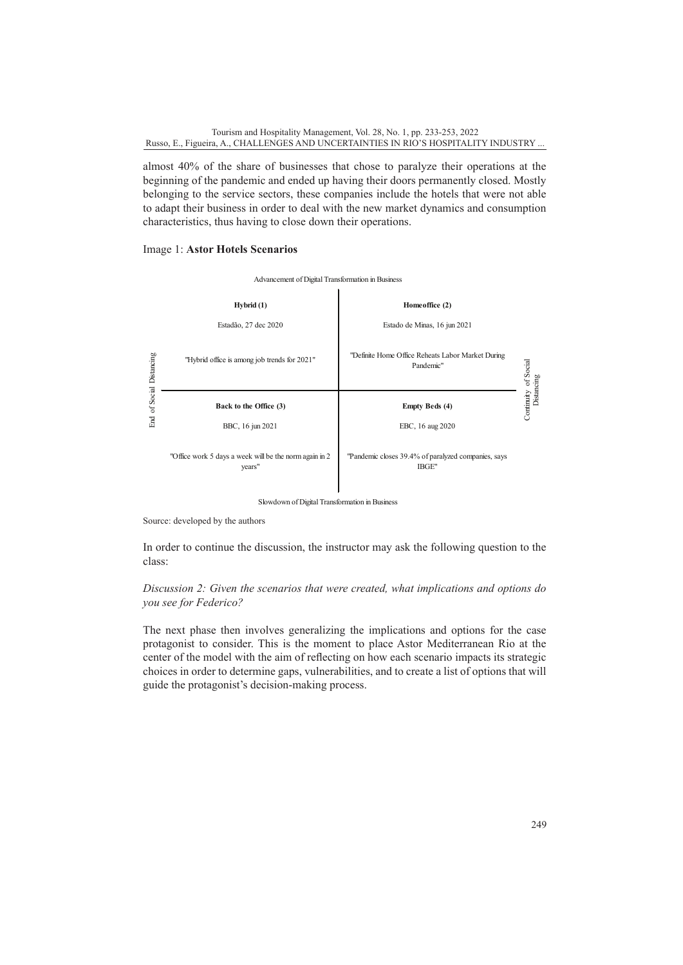almost 40% of the share of businesses that chose to paralyze their operations at the beginning of the pandemic and ended up having their doors permanently closed. Mostly belonging to the service sectors, these companies include the hotels that were not able to adapt their business in order to deal with the new market dynamics and consumption characteristics, thus having to close down their operations.

#### Image 1: **Astor Hotels Scenarios**



Slowdown of Digital Transformation in Business

Source: developed by the authors

In order to continue the discussion, the instructor may ask the following question to the class:

### *Discussion 2: Given the scenarios that were created, what implications and options do you see for Federico?*

The next phase then involves generalizing the implications and options for the case protagonist to consider. This is the moment to place Astor Mediterranean Rio at the center of the model with the aim of reflecting on how each scenario impacts its strategic choices in order to determine gaps, vulnerabilities, and to create a list of options that will guide the protagonist's decision-making process.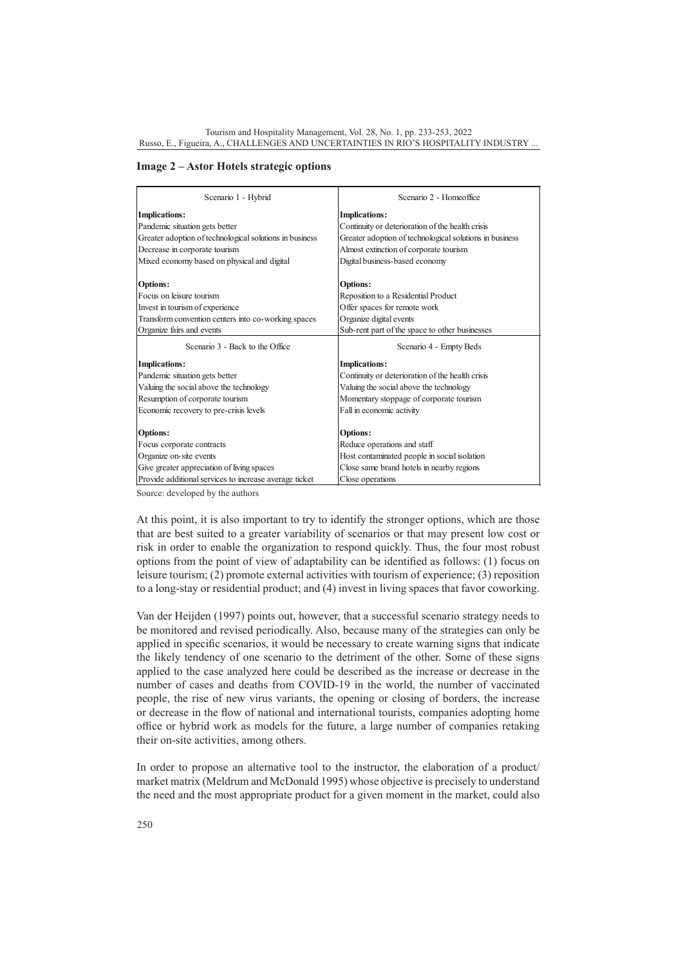**Image 2 – Astor Hotels strategic options**

| Scenario 1 - Hybrid                                     | Scenario 2 - Homeoffice                                 |  |
|---------------------------------------------------------|---------------------------------------------------------|--|
| <b>Implications:</b>                                    | <b>Implications:</b>                                    |  |
| Pandemic situation gets better                          | Continuity or deterioration of the health crisis        |  |
| Greater adoption of technological solutions in business | Greater adoption of technological solutions in business |  |
| Decrease in corporate tourism                           | Almost extinction of corporate tourism                  |  |
| Mixed economy based on physical and digital             | Digital business-based economy                          |  |
| <b>Options:</b>                                         | <b>Options:</b>                                         |  |
| Focus on leisure tourism                                | Reposition to a Residential Product                     |  |
| Invest in tourism of experience                         | Offer spaces for remote work                            |  |
| Transform convention centers into co-working spaces     | Organize digital events                                 |  |
| Organize fairs and events                               | Sub-rent part of the space to other businesses          |  |
| Scenario 3 - Back to the Office                         | Scenario 4 - Empty Beds                                 |  |
| <b>Implications:</b>                                    | <b>Implications:</b>                                    |  |
| Pandemic situation gets better                          | Continuity or deterioration of the health crisis        |  |
|                                                         |                                                         |  |
| Valuing the social above the technology                 | Valuing the social above the technology                 |  |
| Resumption of corporate tourism                         | Momentary stoppage of corporate tourism                 |  |
| Economic recovery to pre-crisis levels                  | Fall in economic activity                               |  |
| <b>Options:</b>                                         | <b>Options:</b>                                         |  |
| Focus corporate contracts                               | Reduce operations and staff                             |  |
| Organize on-site events                                 | Host contaminated people in social isolation            |  |
| Give greater appreciation of living spaces              | Close same brand hotels in nearby regions               |  |
| Provide additional services to increase average ticket  | Close operations                                        |  |

Source: developed by the authors

At this point, it is also important to try to identify the stronger options, which are those that are best suited to a greater variability of scenarios or that may present low cost or risk in order to enable the organization to respond quickly. Thus, the four most robust options from the point of view of adaptability can be identified as follows: (1) focus on leisure tourism; (2) promote external activities with tourism of experience; (3) reposition to a long-stay or residential product; and (4) invest in living spaces that favor coworking.

Van der Heijden (1997) points out, however, that a successful scenario strategy needs to be monitored and revised periodically. Also, because many of the strategies can only be applied in specific scenarios, it would be necessary to create warning signs that indicate the likely tendency of one scenario to the detriment of the other. Some of these signs applied to the case analyzed here could be described as the increase or decrease in the number of cases and deaths from COVID-19 in the world, the number of vaccinated people, the rise of new virus variants, the opening or closing of borders, the increase or decrease in the flow of national and international tourists, companies adopting home office or hybrid work as models for the future, a large number of companies retaking their on-site activities, among others.

In order to propose an alternative tool to the instructor, the elaboration of a product/ market matrix (Meldrum and McDonald 1995) whose objective is precisely to understand the need and the most appropriate product for a given moment in the market, could also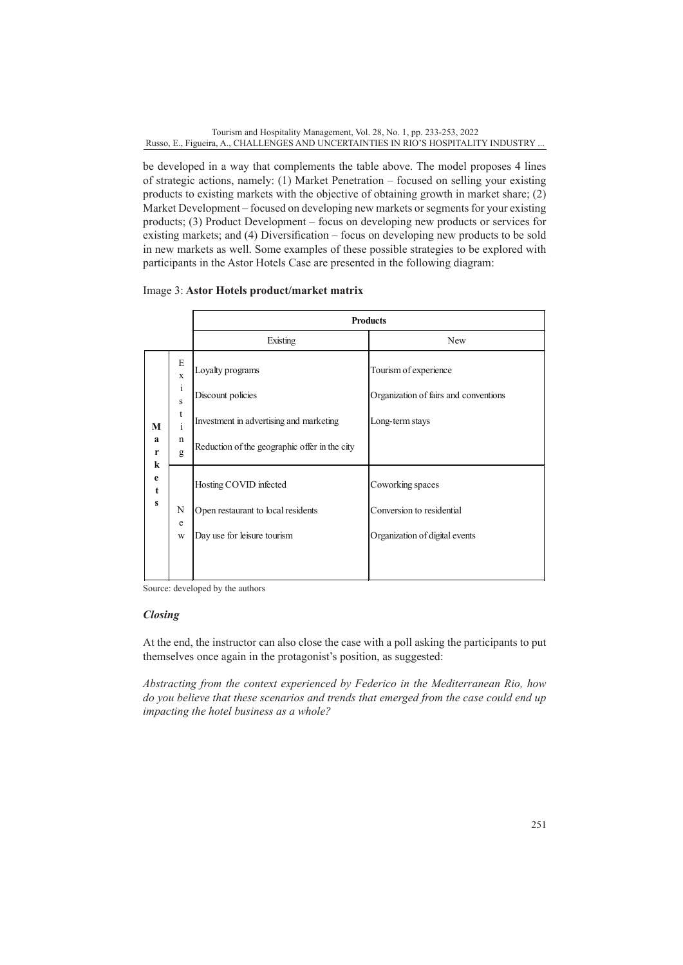be developed in a way that complements the table above. The model proposes 4 lines of strategic actions, namely: (1) Market Penetration – focused on selling your existing products to existing markets with the objective of obtaining growth in market share; (2) Market Development – focused on developing new markets or segments for your existing products; (3) Product Development – focus on developing new products or services for existing markets; and (4) Diversification – focus on developing new products to be sold in new markets as well. Some examples of these possible strategies to be explored with participants in the Astor Hotels Case are presented in the following diagram:

# Image 3: **Astor Hotels product/market matrix**

|                        |                                                                      | <b>Products</b>                                                                                                                   |                                                                                   |
|------------------------|----------------------------------------------------------------------|-----------------------------------------------------------------------------------------------------------------------------------|-----------------------------------------------------------------------------------|
|                        |                                                                      | Existing                                                                                                                          | New                                                                               |
| М<br>a<br>r<br>k       | E<br>$\mathbf x$<br>$\mathbf{i}$<br>S<br>t<br>$\mathbf{i}$<br>n<br>g | Loyalty programs<br>Discount policies<br>Investment in advertising and marketing<br>Reduction of the geographic offer in the city | Tourism of experience<br>Organization of fairs and conventions<br>Long-term stays |
| e<br>t<br>$\mathbf{s}$ | N<br>e<br>W                                                          | Hosting COVID infected<br>Open restaurant to local residents<br>Day use for leisure tourism                                       | Coworking spaces<br>Conversion to residential<br>Organization of digital events   |

Source: developed by the authors

# *Closing*

At the end, the instructor can also close the case with a poll asking the participants to put themselves once again in the protagonist's position, as suggested:

*Abstracting from the context experienced by Federico in the Mediterranean Rio, how do you believe that these scenarios and trends that emerged from the case could end up impacting the hotel business as a whole?*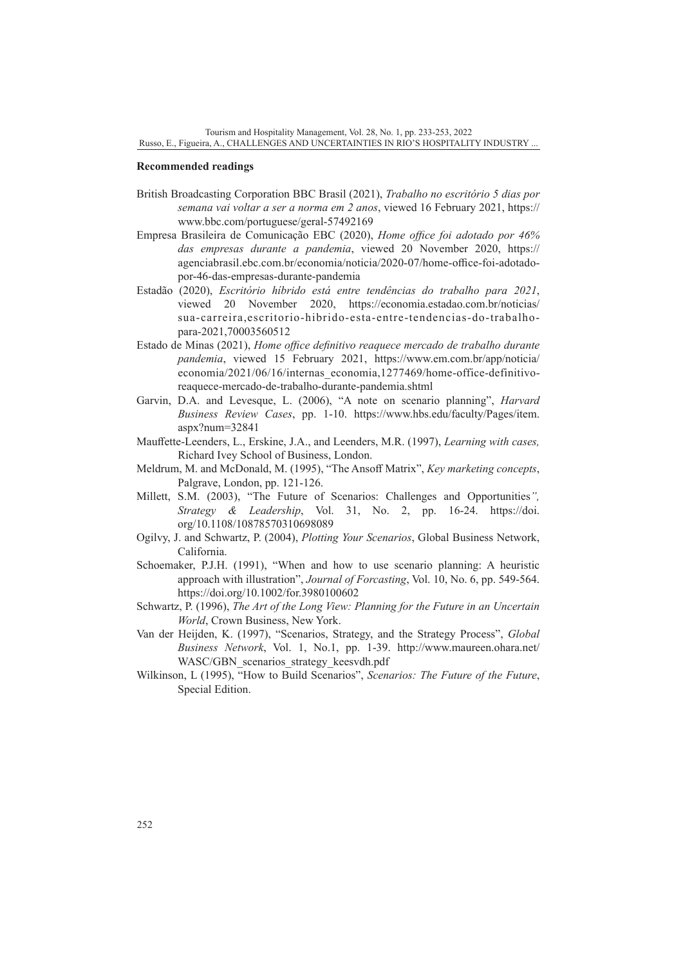#### **Recommended readings**

- British Broadcasting Corporation BBC Brasil (2021), *Trabalho no escritório 5 dias por semana vai voltar a ser a norma em 2 anos*, viewed 16 February 2021, [https://](https://www.bbc.com/portuguese/geral-57492169) [www.bbc.com/portuguese/geral-57492169](https://www.bbc.com/portuguese/geral-57492169)
- Empresa Brasileira de Comunicação EBC (2020), *Home office foi adotado por 46% das empresas durante a pandemia*, viewed 20 November 2020, [https://](https://agenciabrasil.ebc.com.br/economia/noticia/2020-07/home-office-foi-adotado-por-46-das-empresas-durante-pandemia) [agenciabrasil.ebc.com.br/economia/noticia/2020-07/home-office-foi-adotado](https://agenciabrasil.ebc.com.br/economia/noticia/2020-07/home-office-foi-adotado-por-46-das-empresas-durante-pandemia)[por-46-das-empresas-durante-pandemia](https://agenciabrasil.ebc.com.br/economia/noticia/2020-07/home-office-foi-adotado-por-46-das-empresas-durante-pandemia)
- Estadão (2020), *Escritório híbrido está entre tendências do trabalho para 2021*, viewed 20 November 2020, [https://economia.estadao.com.br/noticias/](https://economia.estadao.com.br/noticias/sua-carreira,escritorio-hibrido-esta-entre-tendencias-do-trabalho-para-2021,70003560512) [sua-carreira,escritorio-hibrido-esta-entre-tendencias-do-trabalho](https://economia.estadao.com.br/noticias/sua-carreira,escritorio-hibrido-esta-entre-tendencias-do-trabalho-para-2021,70003560512)[para-2021,70003560512](https://economia.estadao.com.br/noticias/sua-carreira,escritorio-hibrido-esta-entre-tendencias-do-trabalho-para-2021,70003560512)
- Estado de Minas (2021), *Home office definitivo reaquece mercado de trabalho durante pandemia*, viewed 15 February 2021, [https://www.em.com.br/app/noticia/](https://www.em.com.br/app/noticia/economia/2021/06/16/internas_economia,1277469/home-office-definitivo-reaquece-mercado-de-trabalho-durante-pandemia.shtml) [economia/2021/06/16/internas\\_economia,1277469/home-office-definitivo](https://www.em.com.br/app/noticia/economia/2021/06/16/internas_economia,1277469/home-office-definitivo-reaquece-mercado-de-trabalho-durante-pandemia.shtml)[reaquece-mercado-de-trabalho-durante-pandemia.shtml](https://www.em.com.br/app/noticia/economia/2021/06/16/internas_economia,1277469/home-office-definitivo-reaquece-mercado-de-trabalho-durante-pandemia.shtml)
- Garvin, D.A. and Levesque, L. (2006), "A note on scenario planning", *Harvard Business Review Cases*, pp. 1-10. [https://www.hbs.edu/faculty/Pages/item.](https://www.hbs.edu/faculty/Pages/item.aspx?num=32841) [aspx?num=32841](https://www.hbs.edu/faculty/Pages/item.aspx?num=32841)
- Mauffette-Leenders, L., Erskine, J.A., and Leenders, M.R. (1997), *Learning with cases,* Richard Ivey School of Business, London.
- Meldrum, M. and McDonald, M. (1995), "The Ansoff Matrix", *Key marketing concepts*, Palgrave, London, pp. 121-126.
- Millett, S.M. (2003), "The Future of Scenarios: Challenges and Opportunities*", Strategy & Leadership*, Vol. 31, No. 2, pp. 16-24. [https://doi.](https://doi.org/10.1108/10878570310698089) [org/10.1108/10878570310698089](https://doi.org/10.1108/10878570310698089)
- Ogilvy, J. and Schwartz, P. (2004), *Plotting Your Scenarios*, Global Business Network, California.
- Schoemaker, P.J.H. (1991), "When and how to use scenario planning: A heuristic approach with illustration", *Journal of Forcasting*, Vol. 10, No. 6, pp. 549-564. <https://doi.org/10.1002/for.3980100602>
- Schwartz, P. (1996), *The Art of the Long View: Planning for the Future in an Uncertain World*, Crown Business, New York.
- Van der Heijden, K. (1997), "Scenarios, Strategy, and the Strategy Process", *Global Business Network*, Vol. 1, No.1, pp. 1-39. [http://www.maureen.ohara.net/](http://www.maureen.ohara.net/WASC/GBN_scenarios_strategy_keesvdh.pdf) WASC/GBN scenarios strategy keesvdh.pdf
- Wilkinson, L (1995), "How to Build Scenarios", *Scenarios: The Future of the Future*, Special Edition.